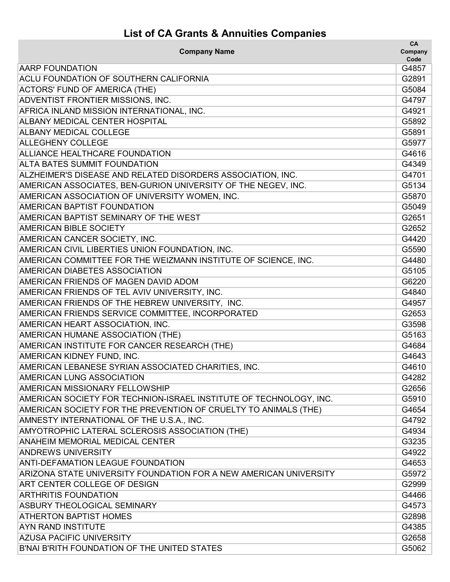## **List of CA Grants & Annuities Companies**

| <b>Company Name</b>                                                | CA<br>Company<br>Code |
|--------------------------------------------------------------------|-----------------------|
| <b>AARP FOUNDATION</b>                                             | G4857                 |
| ACLU FOUNDATION OF SOUTHERN CALIFORNIA                             | G2891                 |
| <b>ACTORS' FUND OF AMERICA (THE)</b>                               | G5084                 |
| ADVENTIST FRONTIER MISSIONS, INC.                                  | G4797                 |
| AFRICA INLAND MISSION INTERNATIONAL, INC.                          | G4921                 |
| <b>ALBANY MEDICAL CENTER HOSPITAL</b>                              | G5892                 |
| <b>ALBANY MEDICAL COLLEGE</b>                                      | G5891                 |
| <b>ALLEGHENY COLLEGE</b>                                           | G5977                 |
| ALLIANCE HEALTHCARE FOUNDATION                                     | G4616                 |
| <b>ALTA BATES SUMMIT FOUNDATION</b>                                | G4349                 |
| ALZHEIMER'S DISEASE AND RELATED DISORDERS ASSOCIATION, INC.        | G4701                 |
| AMERICAN ASSOCIATES, BEN-GURION UNIVERSITY OF THE NEGEV, INC.      | G5134                 |
| AMERICAN ASSOCIATION OF UNIVERSITY WOMEN, INC.                     | G5870                 |
| AMERICAN BAPTIST FOUNDATION                                        | G5049                 |
| AMERICAN BAPTIST SEMINARY OF THE WEST                              | G2651                 |
| AMERICAN BIBLE SOCIETY                                             | G2652                 |
| AMERICAN CANCER SOCIETY, INC.                                      | G4420                 |
| AMERICAN CIVIL LIBERTIES UNION FOUNDATION, INC.                    | G5590                 |
| AMERICAN COMMITTEE FOR THE WEIZMANN INSTITUTE OF SCIENCE, INC.     | G4480                 |
| AMERICAN DIABETES ASSOCIATION                                      | G5105                 |
| AMERICAN FRIENDS OF MAGEN DAVID ADOM                               | G6220                 |
| AMERICAN FRIENDS OF TEL AVIV UNIVERSITY, INC.                      | G4840                 |
| AMERICAN FRIENDS OF THE HEBREW UNIVERSITY, INC.                    | G4957                 |
| AMERICAN FRIENDS SERVICE COMMITTEE, INCORPORATED                   | G2653                 |
| AMERICAN HEART ASSOCIATION, INC.                                   | G3598                 |
| AMERICAN HUMANE ASSOCIATION (THE)                                  | G5163                 |
| AMERICAN INSTITUTE FOR CANCER RESEARCH (THE)                       | G4684                 |
| AMERICAN KIDNEY FUND, INC.                                         | G4643                 |
| AMERICAN LEBANESE SYRIAN ASSOCIATED CHARITIES, INC.                | G4610                 |
| AMERICAN LUNG ASSOCIATION                                          | G4282                 |
| <b>AMERICAN MISSIONARY FELLOWSHIP</b>                              | G2656                 |
| AMERICAN SOCIETY FOR TECHNION-ISRAEL INSTITUTE OF TECHNOLOGY, INC. | G5910                 |
| AMERICAN SOCIETY FOR THE PREVENTION OF CRUELTY TO ANIMALS (THE)    | G4654                 |
| AMNESTY INTERNATIONAL OF THE U.S.A., INC.                          | G4792                 |
| AMYOTROPHIC LATERAL SCLEROSIS ASSOCIATION (THE)                    | G4934                 |
| <b>ANAHEIM MEMORIAL MEDICAL CENTER</b>                             | G3235                 |
| <b>ANDREWS UNIVERSITY</b>                                          | G4922                 |
| <b>ANTI-DEFAMATION LEAGUE FOUNDATION</b>                           | G4653                 |
| ARIZONA STATE UNIVERSITY FOUNDATION FOR A NEW AMERICAN UNIVERSITY  | G5972                 |
| ART CENTER COLLEGE OF DESIGN                                       | G2999                 |
| <b>ARTHRITIS FOUNDATION</b>                                        | G4466                 |
| ASBURY THEOLOGICAL SEMINARY                                        | G4573                 |
| <b>ATHERTON BAPTIST HOMES</b>                                      | G2898                 |
| <b>AYN RAND INSTITUTE</b>                                          | G4385                 |
| <b>AZUSA PACIFIC UNIVERSITY</b>                                    | G2658                 |
| B'NAI B'RITH FOUNDATION OF THE UNITED STATES                       | G5062                 |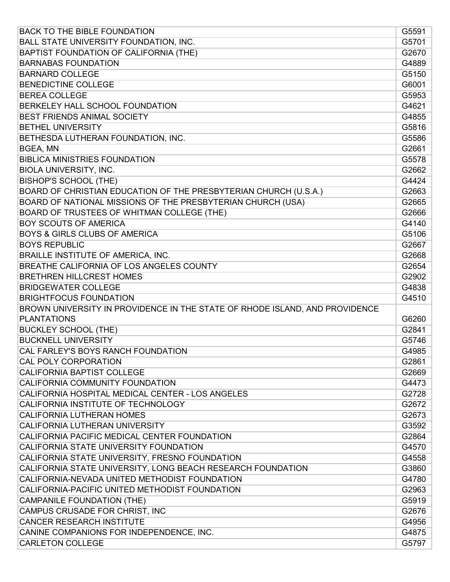| <b>BACK TO THE BIBLE FOUNDATION</b>                                         | G5591 |
|-----------------------------------------------------------------------------|-------|
| BALL STATE UNIVERSITY FOUNDATION, INC.                                      | G5701 |
| BAPTIST FOUNDATION OF CALIFORNIA (THE)                                      | G2670 |
| <b>BARNABAS FOUNDATION</b>                                                  | G4889 |
| <b>BARNARD COLLEGE</b>                                                      | G5150 |
| <b>BENEDICTINE COLLEGE</b>                                                  | G6001 |
| <b>BEREA COLLEGE</b>                                                        | G5953 |
| BERKELEY HALL SCHOOL FOUNDATION                                             | G4621 |
| BEST FRIENDS ANIMAL SOCIETY                                                 | G4855 |
| <b>BETHEL UNIVERSITY</b>                                                    | G5816 |
| BETHESDA LUTHERAN FOUNDATION, INC.                                          | G5586 |
| BGEA, MN                                                                    | G2661 |
| <b>BIBLICA MINISTRIES FOUNDATION</b>                                        | G5578 |
| <b>BIOLA UNIVERSITY, INC.</b>                                               | G2662 |
| <b>BISHOP'S SCHOOL (THE)</b>                                                | G4424 |
| BOARD OF CHRISTIAN EDUCATION OF THE PRESBYTERIAN CHURCH (U.S.A.)            | G2663 |
| BOARD OF NATIONAL MISSIONS OF THE PRESBYTERIAN CHURCH (USA)                 | G2665 |
| BOARD OF TRUSTEES OF WHITMAN COLLEGE (THE)                                  | G2666 |
| <b>BOY SCOUTS OF AMERICA</b>                                                | G4140 |
| <b>BOYS &amp; GIRLS CLUBS OF AMERICA</b>                                    | G5106 |
| <b>BOYS REPUBLIC</b>                                                        | G2667 |
| BRAILLE INSTITUTE OF AMERICA, INC.                                          | G2668 |
| BREATHE CALIFORNIA OF LOS ANGELES COUNTY                                    | G2654 |
| <b>BRETHREN HILLCREST HOMES</b>                                             | G2902 |
| <b>BRIDGEWATER COLLEGE</b>                                                  | G4838 |
| <b>BRIGHTFOCUS FOUNDATION</b>                                               | G4510 |
| BROWN UNIVERSITY IN PROVIDENCE IN THE STATE OF RHODE ISLAND, AND PROVIDENCE |       |
| <b>PLANTATIONS</b>                                                          | G6260 |
| <b>BUCKLEY SCHOOL (THE)</b>                                                 | G2841 |
| <b>BUCKNELL UNIVERSITY</b>                                                  | G5746 |
| CAL FARLEY'S BOYS RANCH FOUNDATION                                          | G4985 |
| <b>CAL POLY CORPORATION</b>                                                 | G2861 |
| <b>CALIFORNIA BAPTIST COLLEGE</b>                                           | G2669 |
| CALIFORNIA COMMUNITY FOUNDATION                                             | G4473 |
| CALIFORNIA HOSPITAL MEDICAL CENTER - LOS ANGELES                            | G2728 |
| CALIFORNIA INSTITUTE OF TECHNOLOGY                                          | G2672 |
| <b>CALIFORNIA LUTHERAN HOMES</b>                                            | G2673 |
| CALIFORNIA LUTHERAN UNIVERSITY                                              | G3592 |
| CALIFORNIA PACIFIC MEDICAL CENTER FOUNDATION                                | G2864 |
| CALIFORNIA STATE UNIVERSITY FOUNDATION                                      | G4570 |
| CALIFORNIA STATE UNIVERSITY, FRESNO FOUNDATION                              | G4558 |
| CALIFORNIA STATE UNIVERSITY, LONG BEACH RESEARCH FOUNDATION                 | G3860 |
| CALIFORNIA-NEVADA UNITED METHODIST FOUNDATION                               | G4780 |
| CALIFORNIA-PACIFIC UNITED METHODIST FOUNDATION                              | G2963 |
| <b>CAMPANILE FOUNDATION (THE)</b>                                           | G5919 |
| CAMPUS CRUSADE FOR CHRIST, INC                                              | G2676 |
| <b>CANCER RESEARCH INSTITUTE</b>                                            | G4956 |
| CANINE COMPANIONS FOR INDEPENDENCE, INC.                                    | G4875 |
| <b>CARLETON COLLEGE</b>                                                     | G5797 |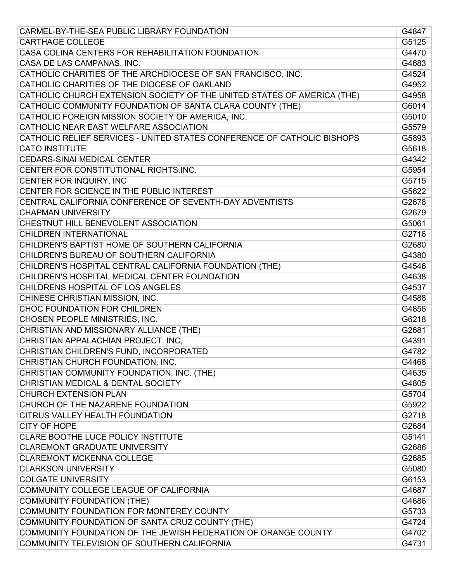| CARMEL-BY-THE-SEA PUBLIC LIBRARY FOUNDATION                             | G4847 |
|-------------------------------------------------------------------------|-------|
| <b>CARTHAGE COLLEGE</b>                                                 | G5125 |
| CASA COLINA CENTERS FOR REHABILITATION FOUNDATION                       | G4470 |
| CASA DE LAS CAMPANAS, INC.                                              | G4683 |
| CATHOLIC CHARITIES OF THE ARCHDIOCESE OF SAN FRANCISCO, INC.            | G4524 |
| CATHOLIC CHARITIES OF THE DIOCESE OF OAKLAND                            | G4952 |
| CATHOLIC CHURCH EXTENSION SOCIETY OF THE UNITED STATES OF AMERICA (THE) | G4958 |
| CATHOLIC COMMUNITY FOUNDATION OF SANTA CLARA COUNTY (THE)               | G6014 |
| CATHOLIC FOREIGN MISSION SOCIETY OF AMERICA, INC.                       | G5010 |
| CATHOLIC NEAR EAST WELFARE ASSOCIATION                                  | G5579 |
| CATHOLIC RELIEF SERVICES - UNITED STATES CONFERENCE OF CATHOLIC BISHOPS | G5893 |
| <b>CATO INSTITUTE</b>                                                   | G5618 |
| <b>CEDARS-SINAI MEDICAL CENTER</b>                                      | G4342 |
| CENTER FOR CONSTITUTIONAL RIGHTS, INC.                                  | G5954 |
| CENTER FOR INQUIRY, INC                                                 | G5715 |
| CENTER FOR SCIENCE IN THE PUBLIC INTEREST                               | G5622 |
| CENTRAL CALIFORNIA CONFERENCE OF SEVENTH-DAY ADVENTISTS                 | G2678 |
| <b>CHAPMAN UNIVERSITY</b>                                               | G2679 |
| CHESTNUT HILL BENEVOLENT ASSOCIATION                                    | G5061 |
| <b>CHILDREN INTERNATIONAL</b>                                           | G2716 |
| CHILDREN'S BAPTIST HOME OF SOUTHERN CALIFORNIA                          | G2680 |
| CHILDREN'S BUREAU OF SOUTHERN CALIFORNIA                                | G4380 |
| CHILDREN'S HOSPITAL CENTRAL CALIFORNIA FOUNDATION (THE)                 | G4546 |
| CHILDREN'S HOSPITAL MEDICAL CENTER FOUNDATION                           | G4638 |
| CHILDRENS HOSPITAL OF LOS ANGELES                                       | G4537 |
| CHINESE CHRISTIAN MISSION, INC.                                         | G4588 |
| CHOC FOUNDATION FOR CHILDREN                                            | G4856 |
| CHOSEN PEOPLE MINISTRIES, INC.                                          | G6218 |
| CHRISTIAN AND MISSIONARY ALLIANCE (THE)                                 | G2681 |
| CHRISTIAN APPALACHIAN PROJECT, INC,                                     | G4391 |
| CHRISTIAN CHILDREN'S FUND, INCORPORATED                                 | G4782 |
| CHRISTIAN CHURCH FOUNDATION, INC.                                       | G4468 |
| CHRISTIAN COMMUNITY FOUNDATION, INC. (THE)                              | G4635 |
| CHRISTIAN MEDICAL & DENTAL SOCIETY                                      | G4805 |
| <b>CHURCH EXTENSION PLAN</b>                                            | G5704 |
| CHURCH OF THE NAZARENE FOUNDATION                                       | G5922 |
| CITRUS VALLEY HEALTH FOUNDATION                                         | G2718 |
| <b>CITY OF HOPE</b>                                                     | G2684 |
| <b>CLARE BOOTHE LUCE POLICY INSTITUTE</b>                               | G5141 |
| <b>CLAREMONT GRADUATE UNIVERSITY</b>                                    | G2686 |
| <b>CLAREMONT MCKENNA COLLEGE</b>                                        | G2685 |
| <b>CLARKSON UNIVERSITY</b>                                              | G5080 |
| <b>COLGATE UNIVERSITY</b>                                               | G6153 |
| COMMUNITY COLLEGE LEAGUE OF CALIFORNIA                                  | G4687 |
| <b>COMMUNITY FOUNDATION (THE)</b>                                       | G4686 |
| COMMUNITY FOUNDATION FOR MONTEREY COUNTY                                | G5733 |
| COMMUNITY FOUNDATION OF SANTA CRUZ COUNTY (THE)                         | G4724 |
| COMMUNITY FOUNDATION OF THE JEWISH FEDERATION OF ORANGE COUNTY          | G4702 |
| COMMUNITY TELEVISION OF SOUTHERN CALIFORNIA                             | G4731 |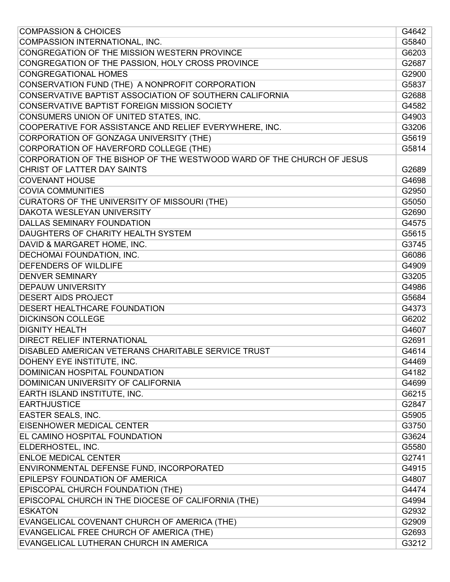| <b>COMPASSION &amp; CHOICES</b>                                       | G4642 |
|-----------------------------------------------------------------------|-------|
| COMPASSION INTERNATIONAL, INC.                                        | G5840 |
| CONGREGATION OF THE MISSION WESTERN PROVINCE                          | G6203 |
| CONGREGATION OF THE PASSION, HOLY CROSS PROVINCE                      | G2687 |
| <b>CONGREGATIONAL HOMES</b>                                           | G2900 |
| CONSERVATION FUND (THE) A NONPROFIT CORPORATION                       | G5837 |
| CONSERVATIVE BAPTIST ASSOCIATION OF SOUTHERN CALIFORNIA               | G2688 |
| CONSERVATIVE BAPTIST FOREIGN MISSION SOCIETY                          | G4582 |
| CONSUMERS UNION OF UNITED STATES, INC.                                | G4903 |
| COOPERATIVE FOR ASSISTANCE AND RELIEF EVERYWHERE, INC.                | G3206 |
| CORPORATION OF GONZAGA UNIVERSITY (THE)                               | G5619 |
| CORPORATION OF HAVERFORD COLLEGE (THE)                                | G5814 |
| CORPORATION OF THE BISHOP OF THE WESTWOOD WARD OF THE CHURCH OF JESUS |       |
| CHRIST OF LATTER DAY SAINTS                                           | G2689 |
| <b>COVENANT HOUSE</b>                                                 | G4698 |
| <b>COVIA COMMUNITIES</b>                                              | G2950 |
| CURATORS OF THE UNIVERSITY OF MISSOURI (THE)                          | G5050 |
| DAKOTA WESLEYAN UNIVERSITY                                            | G2690 |
| <b>DALLAS SEMINARY FOUNDATION</b>                                     | G4575 |
| DAUGHTERS OF CHARITY HEALTH SYSTEM                                    | G5615 |
| DAVID & MARGARET HOME, INC.                                           | G3745 |
| DECHOMAI FOUNDATION, INC.                                             | G6086 |
| <b>DEFENDERS OF WILDLIFE</b>                                          | G4909 |
| <b>DENVER SEMINARY</b>                                                | G3205 |
| <b>DEPAUW UNIVERSITY</b>                                              | G4986 |
| <b>DESERT AIDS PROJECT</b>                                            | G5684 |
| <b>DESERT HEALTHCARE FOUNDATION</b>                                   | G4373 |
| <b>DICKINSON COLLEGE</b>                                              | G6202 |
| <b>DIGNITY HEALTH</b>                                                 | G4607 |
| <b>DIRECT RELIEF INTERNATIONAL</b>                                    | G2691 |
| DISABLED AMERICAN VETERANS CHARITABLE SERVICE TRUST                   | G4614 |
| DOHENY EYE INSTITUTE, INC.                                            | G4469 |
| DOMINICAN HOSPITAL FOUNDATION                                         | G4182 |
| DOMINICAN UNIVERSITY OF CALIFORNIA                                    | G4699 |
| EARTH ISLAND INSTITUTE, INC.                                          | G6215 |
| <b>EARTHJUSTICE</b>                                                   | G2847 |
| EASTER SEALS, INC.                                                    | G5905 |
| <b>EISENHOWER MEDICAL CENTER</b>                                      | G3750 |
| EL CAMINO HOSPITAL FOUNDATION                                         | G3624 |
| ELDERHOSTEL, INC.                                                     | G5580 |
| <b>ENLOE MEDICAL CENTER</b>                                           | G2741 |
| ENVIRONMENTAL DEFENSE FUND, INCORPORATED                              | G4915 |
| EPILEPSY FOUNDATION OF AMERICA                                        | G4807 |
| EPISCOPAL CHURCH FOUNDATION (THE)                                     | G4474 |
| EPISCOPAL CHURCH IN THE DIOCESE OF CALIFORNIA (THE)                   | G4994 |
| <b>ESKATON</b>                                                        | G2932 |
| EVANGELICAL COVENANT CHURCH OF AMERICA (THE)                          | G2909 |
| EVANGELICAL FREE CHURCH OF AMERICA (THE)                              | G2693 |
| EVANGELICAL LUTHERAN CHURCH IN AMERICA                                | G3212 |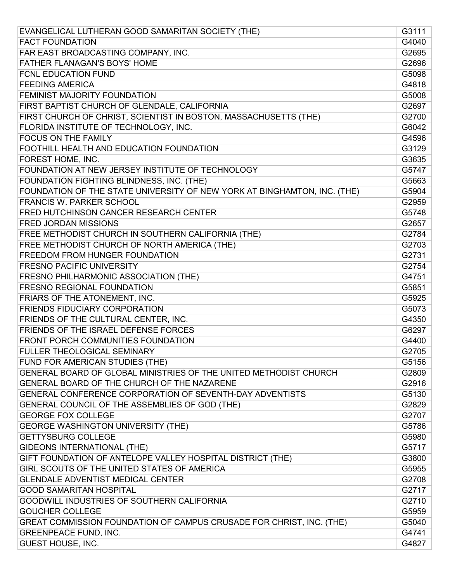| EVANGELICAL LUTHERAN GOOD SAMARITAN SOCIETY (THE)                        | G3111 |
|--------------------------------------------------------------------------|-------|
| <b>FACT FOUNDATION</b>                                                   | G4040 |
| FAR EAST BROADCASTING COMPANY, INC.                                      | G2695 |
| FATHER FLANAGAN'S BOYS' HOME                                             | G2696 |
| FCNL EDUCATION FUND                                                      | G5098 |
| <b>FEEDING AMERICA</b>                                                   | G4818 |
| FEMINIST MAJORITY FOUNDATION                                             | G5008 |
| FIRST BAPTIST CHURCH OF GLENDALE, CALIFORNIA                             | G2697 |
| FIRST CHURCH OF CHRIST, SCIENTIST IN BOSTON, MASSACHUSETTS (THE)         | G2700 |
| FLORIDA INSTITUTE OF TECHNOLOGY, INC.                                    | G6042 |
| <b>FOCUS ON THE FAMILY</b>                                               | G4596 |
| FOOTHILL HEALTH AND EDUCATION FOUNDATION                                 | G3129 |
| FOREST HOME, INC.                                                        | G3635 |
| FOUNDATION AT NEW JERSEY INSTITUTE OF TECHNOLOGY                         | G5747 |
| FOUNDATION FIGHTING BLINDNESS, INC. (THE)                                | G5663 |
| FOUNDATION OF THE STATE UNIVERSITY OF NEW YORK AT BINGHAMTON, INC. (THE) | G5904 |
| <b>FRANCIS W. PARKER SCHOOL</b>                                          | G2959 |
| FRED HUTCHINSON CANCER RESEARCH CENTER                                   | G5748 |
| <b>FRED JORDAN MISSIONS</b>                                              | G2657 |
| FREE METHODIST CHURCH IN SOUTHERN CALIFORNIA (THE)                       | G2784 |
| FREE METHODIST CHURCH OF NORTH AMERICA (THE)                             | G2703 |
| FREEDOM FROM HUNGER FOUNDATION                                           | G2731 |
| <b>FRESNO PACIFIC UNIVERSITY</b>                                         | G2754 |
| FRESNO PHILHARMONIC ASSOCIATION (THE)                                    | G4751 |
| <b>FRESNO REGIONAL FOUNDATION</b>                                        | G5851 |
| FRIARS OF THE ATONEMENT, INC.                                            | G5925 |
| <b>FRIENDS FIDUCIARY CORPORATION</b>                                     | G5073 |
| FRIENDS OF THE CULTURAL CENTER, INC.                                     | G4350 |
| FRIENDS OF THE ISRAEL DEFENSE FORCES                                     | G6297 |
| FRONT PORCH COMMUNITIES FOUNDATION                                       | G4400 |
| FULLER THEOLOGICAL SEMINARY                                              | G2705 |
| FUND FOR AMERICAN STUDIES (THE)                                          | G5156 |
| GENERAL BOARD OF GLOBAL MINISTRIES OF THE UNITED METHODIST CHURCH        | G2809 |
| GENERAL BOARD OF THE CHURCH OF THE NAZARENE                              | G2916 |
| GENERAL CONFERENCE CORPORATION OF SEVENTH-DAY ADVENTISTS                 | G5130 |
| GENERAL COUNCIL OF THE ASSEMBLIES OF GOD (THE)                           | G2829 |
| <b>GEORGE FOX COLLEGE</b>                                                | G2707 |
| <b>GEORGE WASHINGTON UNIVERSITY (THE)</b>                                | G5786 |
| <b>GETTYSBURG COLLEGE</b>                                                | G5980 |
| <b>GIDEONS INTERNATIONAL (THE)</b>                                       | G5717 |
| GIFT FOUNDATION OF ANTELOPE VALLEY HOSPITAL DISTRICT (THE)               | G3800 |
| GIRL SCOUTS OF THE UNITED STATES OF AMERICA                              | G5955 |
| <b>GLENDALE ADVENTIST MEDICAL CENTER</b>                                 | G2708 |
| <b>GOOD SAMARITAN HOSPITAL</b>                                           | G2717 |
| GOODWILL INDUSTRIES OF SOUTHERN CALIFORNIA                               | G2710 |
| <b>GOUCHER COLLEGE</b>                                                   | G5959 |
| GREAT COMMISSION FOUNDATION OF CAMPUS CRUSADE FOR CHRIST, INC. (THE)     | G5040 |
| <b>GREENPEACE FUND, INC.</b>                                             | G4741 |
| <b>GUEST HOUSE, INC.</b>                                                 | G4827 |
|                                                                          |       |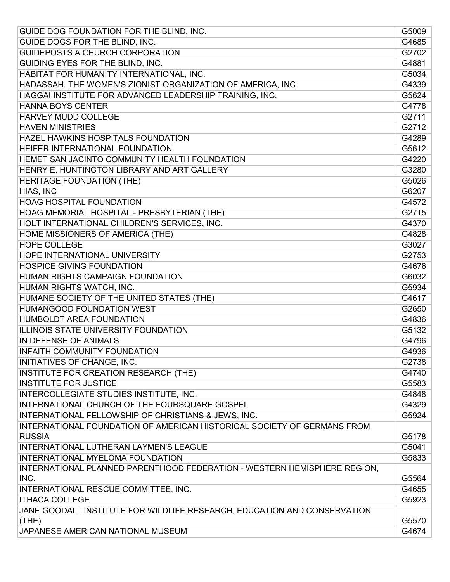| GUIDE DOG FOUNDATION FOR THE BLIND, INC.                                 | G5009 |
|--------------------------------------------------------------------------|-------|
| GUIDE DOGS FOR THE BLIND, INC.                                           | G4685 |
| <b>GUIDEPOSTS A CHURCH CORPORATION</b>                                   | G2702 |
| GUIDING EYES FOR THE BLIND, INC.                                         | G4881 |
| HABITAT FOR HUMANITY INTERNATIONAL, INC.                                 | G5034 |
| HADASSAH, THE WOMEN'S ZIONIST ORGANIZATION OF AMERICA, INC.              | G4339 |
| HAGGAI INSTITUTE FOR ADVANCED LEADERSHIP TRAINING, INC.                  | G5624 |
| <b>HANNA BOYS CENTER</b>                                                 | G4778 |
| <b>HARVEY MUDD COLLEGE</b>                                               | G2711 |
| <b>HAVEN MINISTRIES</b>                                                  | G2712 |
| <b>HAZEL HAWKINS HOSPITALS FOUNDATION</b>                                | G4289 |
| HEIFER INTERNATIONAL FOUNDATION                                          | G5612 |
| HEMET SAN JACINTO COMMUNITY HEALTH FOUNDATION                            | G4220 |
| HENRY E. HUNTINGTON LIBRARY AND ART GALLERY                              | G3280 |
| <b>HERITAGE FOUNDATION (THE)</b>                                         | G5026 |
| HIAS, INC                                                                | G6207 |
| <b>HOAG HOSPITAL FOUNDATION</b>                                          | G4572 |
| HOAG MEMORIAL HOSPITAL - PRESBYTERIAN (THE)                              | G2715 |
| HOLT INTERNATIONAL CHILDREN'S SERVICES, INC.                             | G4370 |
| HOME MISSIONERS OF AMERICA (THE)                                         | G4828 |
| <b>HOPE COLLEGE</b>                                                      | G3027 |
| <b>HOPE INTERNATIONAL UNIVERSITY</b>                                     | G2753 |
| <b>HOSPICE GIVING FOUNDATION</b>                                         | G4676 |
| HUMAN RIGHTS CAMPAIGN FOUNDATION                                         | G6032 |
| HUMAN RIGHTS WATCH, INC.                                                 | G5934 |
| HUMANE SOCIETY OF THE UNITED STATES (THE)                                | G4617 |
| HUMANGOOD FOUNDATION WEST                                                | G2650 |
| HUMBOLDT AREA FOUNDATION                                                 | G4836 |
| ILLINOIS STATE UNIVERSITY FOUNDATION                                     | G5132 |
| IN DEFENSE OF ANIMALS                                                    | G4796 |
| <b>INFAITH COMMUNITY FOUNDATION</b>                                      | G4936 |
| <b>INITIATIVES OF CHANGE, INC.</b>                                       | G2738 |
| INSTITUTE FOR CREATION RESEARCH (THE)                                    | G4740 |
| <b>INSTITUTE FOR JUSTICE</b>                                             | G5583 |
| INTERCOLLEGIATE STUDIES INSTITUTE, INC.                                  | G4848 |
| INTERNATIONAL CHURCH OF THE FOURSQUARE GOSPEL                            | G4329 |
| INTERNATIONAL FELLOWSHIP OF CHRISTIANS & JEWS, INC.                      | G5924 |
| INTERNATIONAL FOUNDATION OF AMERICAN HISTORICAL SOCIETY OF GERMANS FROM  |       |
| <b>RUSSIA</b>                                                            | G5178 |
| <b>INTERNATIONAL LUTHERAN LAYMEN'S LEAGUE</b>                            | G5041 |
| INTERNATIONAL MYELOMA FOUNDATION                                         | G5833 |
| INTERNATIONAL PLANNED PARENTHOOD FEDERATION - WESTERN HEMISPHERE REGION, |       |
| INC.                                                                     | G5564 |
| INTERNATIONAL RESCUE COMMITTEE, INC.                                     | G4655 |
| <b>ITHACA COLLEGE</b>                                                    | G5923 |
| JANE GOODALL INSTITUTE FOR WILDLIFE RESEARCH, EDUCATION AND CONSERVATION |       |
| (THE)                                                                    | G5570 |
| JAPANESE AMERICAN NATIONAL MUSEUM                                        | G4674 |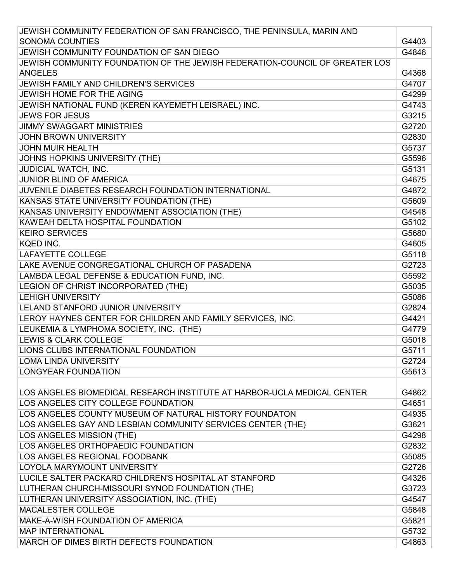| JEWISH COMMUNITY FEDERATION OF SAN FRANCISCO, THE PENINSULA, MARIN AND      |       |
|-----------------------------------------------------------------------------|-------|
| <b>SONOMA COUNTIES</b>                                                      | G4403 |
| JEWISH COMMUNITY FOUNDATION OF SAN DIEGO                                    | G4846 |
| JEWISH COMMUNITY FOUNDATION OF THE JEWISH FEDERATION-COUNCIL OF GREATER LOS |       |
| <b>ANGELES</b>                                                              | G4368 |
| JEWISH FAMILY AND CHILDREN'S SERVICES                                       | G4707 |
| JEWISH HOME FOR THE AGING                                                   | G4299 |
| JEWISH NATIONAL FUND (KEREN KAYEMETH LEISRAEL) INC.                         | G4743 |
| <b>JEWS FOR JESUS</b>                                                       | G3215 |
| <b>JIMMY SWAGGART MINISTRIES</b>                                            | G2720 |
| <b>JOHN BROWN UNIVERSITY</b>                                                | G2830 |
| <b>JOHN MUIR HEALTH</b>                                                     | G5737 |
| JOHNS HOPKINS UNIVERSITY (THE)                                              | G5596 |
| JUDICIAL WATCH, INC.                                                        | G5131 |
| <b>JUNIOR BLIND OF AMERICA</b>                                              | G4675 |
| JUVENILE DIABETES RESEARCH FOUNDATION INTERNATIONAL                         | G4872 |
| KANSAS STATE UNIVERSITY FOUNDATION (THE)                                    | G5609 |
| KANSAS UNIVERSITY ENDOWMENT ASSOCIATION (THE)                               | G4548 |
| KAWEAH DELTA HOSPITAL FOUNDATION                                            | G5102 |
| <b>KEIRO SERVICES</b>                                                       | G5680 |
| <b>KQED INC.</b>                                                            | G4605 |
| <b>LAFAYETTE COLLEGE</b>                                                    | G5118 |
| LAKE AVENUE CONGREGATIONAL CHURCH OF PASADENA                               | G2723 |
| LAMBDA LEGAL DEFENSE & EDUCATION FUND, INC.                                 | G5592 |
| LEGION OF CHRIST INCORPORATED (THE)                                         | G5035 |
| <b>LEHIGH UNIVERSITY</b>                                                    | G5086 |
| LELAND STANFORD JUNIOR UNIVERSITY                                           | G2824 |
| LEROY HAYNES CENTER FOR CHILDREN AND FAMILY SERVICES, INC.                  | G4421 |
| LEUKEMIA & LYMPHOMA SOCIETY, INC. (THE)                                     | G4779 |
| <b>LEWIS &amp; CLARK COLLEGE</b>                                            | G5018 |
| LIONS CLUBS INTERNATIONAL FOUNDATION                                        | G5711 |
| <b>LOMA LINDA UNIVERSITY</b>                                                | G2724 |
| <b>LONGYEAR FOUNDATION</b>                                                  | G5613 |
| LOS ANGELES BIOMEDICAL RESEARCH INSTITUTE AT HARBOR-UCLA MEDICAL CENTER     | G4862 |
| LOS ANGELES CITY COLLEGE FOUNDATION                                         | G4651 |
| LOS ANGELES COUNTY MUSEUM OF NATURAL HISTORY FOUNDATON                      | G4935 |
| LOS ANGELES GAY AND LESBIAN COMMUNITY SERVICES CENTER (THE)                 | G3621 |
| <b>LOS ANGELES MISSION (THE)</b>                                            | G4298 |
| LOS ANGELES ORTHOPAEDIC FOUNDATION                                          | G2832 |
| LOS ANGELES REGIONAL FOODBANK                                               | G5085 |
| LOYOLA MARYMOUNT UNIVERSITY                                                 | G2726 |
| LUCILE SALTER PACKARD CHILDREN'S HOSPITAL AT STANFORD                       | G4326 |
| LUTHERAN CHURCH-MISSOURI SYNOD FOUNDATION (THE)                             | G3723 |
| LUTHERAN UNIVERSITY ASSOCIATION, INC. (THE)                                 | G4547 |
| <b>MACALESTER COLLEGE</b>                                                   | G5848 |
| MAKE-A-WISH FOUNDATION OF AMERICA                                           | G5821 |
| <b>MAP INTERNATIONAL</b>                                                    | G5732 |
| MARCH OF DIMES BIRTH DEFECTS FOUNDATION                                     | G4863 |
|                                                                             |       |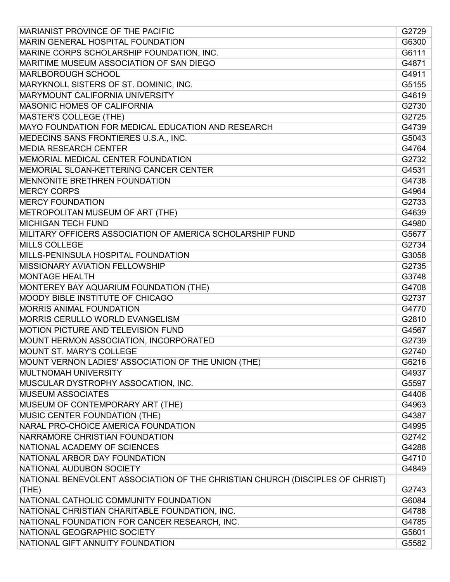| MARIANIST PROVINCE OF THE PACIFIC                                             | G2729 |
|-------------------------------------------------------------------------------|-------|
| MARIN GENERAL HOSPITAL FOUNDATION                                             | G6300 |
| MARINE CORPS SCHOLARSHIP FOUNDATION, INC.                                     | G6111 |
| MARITIME MUSEUM ASSOCIATION OF SAN DIEGO                                      | G4871 |
| <b>MARLBOROUGH SCHOOL</b>                                                     | G4911 |
| MARYKNOLL SISTERS OF ST. DOMINIC, INC.                                        | G5155 |
| MARYMOUNT CALIFORNIA UNIVERSITY                                               | G4619 |
| MASONIC HOMES OF CALIFORNIA                                                   | G2730 |
| <b>MASTER'S COLLEGE (THE)</b>                                                 | G2725 |
| MAYO FOUNDATION FOR MEDICAL EDUCATION AND RESEARCH                            | G4739 |
| MEDECINS SANS FRONTIERES U.S.A., INC.                                         | G5043 |
| <b>MEDIA RESEARCH CENTER</b>                                                  | G4764 |
| MEMORIAL MEDICAL CENTER FOUNDATION                                            | G2732 |
| MEMORIAL SLOAN-KETTERING CANCER CENTER                                        | G4531 |
| <b>MENNONITE BRETHREN FOUNDATION</b>                                          | G4738 |
| <b>MERCY CORPS</b>                                                            | G4964 |
| <b>MERCY FOUNDATION</b>                                                       | G2733 |
| METROPOLITAN MUSEUM OF ART (THE)                                              | G4639 |
| <b>MICHIGAN TECH FUND</b>                                                     | G4980 |
| MILITARY OFFICERS ASSOCIATION OF AMERICA SCHOLARSHIP FUND                     | G5677 |
| <b>MILLS COLLEGE</b>                                                          | G2734 |
| MILLS-PENINSULA HOSPITAL FOUNDATION                                           | G3058 |
| MISSIONARY AVIATION FELLOWSHIP                                                | G2735 |
| <b>MONTAGE HEALTH</b>                                                         | G3748 |
| MONTEREY BAY AQUARIUM FOUNDATION (THE)                                        | G4708 |
| MOODY BIBLE INSTITUTE OF CHICAGO                                              | G2737 |
| MORRIS ANIMAL FOUNDATION                                                      | G4770 |
| MORRIS CERULLO WORLD EVANGELISM                                               | G2810 |
| MOTION PICTURE AND TELEVISION FUND                                            | G4567 |
| MOUNT HERMON ASSOCIATION, INCORPORATED                                        | G2739 |
| MOUNT ST. MARY'S COLLEGE                                                      | G2740 |
| MOUNT VERNON LADIES' ASSOCIATION OF THE UNION (THE)                           | G6216 |
| MULTNOMAH UNIVERSITY                                                          | G4937 |
| MUSCULAR DYSTROPHY ASSOCATION, INC.                                           | G5597 |
| <b>MUSEUM ASSOCIATES</b>                                                      | G4406 |
| MUSEUM OF CONTEMPORARY ART (THE)                                              | G4963 |
| MUSIC CENTER FOUNDATION (THE)                                                 | G4387 |
| NARAL PRO-CHOICE AMERICA FOUNDATION                                           | G4995 |
| NARRAMORE CHRISTIAN FOUNDATION                                                | G2742 |
| NATIONAL ACADEMY OF SCIENCES                                                  | G4288 |
| NATIONAL ARBOR DAY FOUNDATION                                                 | G4710 |
| NATIONAL AUDUBON SOCIETY                                                      | G4849 |
| NATIONAL BENEVOLENT ASSOCIATION OF THE CHRISTIAN CHURCH (DISCIPLES OF CHRIST) |       |
| (THE)                                                                         | G2743 |
| NATIONAL CATHOLIC COMMUNITY FOUNDATION                                        | G6084 |
| NATIONAL CHRISTIAN CHARITABLE FOUNDATION, INC.                                | G4788 |
| NATIONAL FOUNDATION FOR CANCER RESEARCH, INC.                                 | G4785 |
| NATIONAL GEOGRAPHIC SOCIETY                                                   | G5601 |
| NATIONAL GIFT ANNUITY FOUNDATION                                              | G5582 |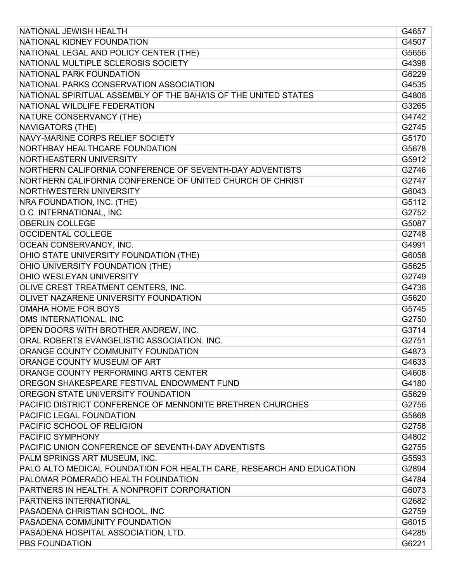| NATIONAL JEWISH HEALTH                                               | G4657 |
|----------------------------------------------------------------------|-------|
| NATIONAL KIDNEY FOUNDATION                                           | G4507 |
| NATIONAL LEGAL AND POLICY CENTER (THE)                               | G5656 |
| NATIONAL MULTIPLE SCLEROSIS SOCIETY                                  | G4398 |
| NATIONAL PARK FOUNDATION                                             | G6229 |
| NATIONAL PARKS CONSERVATION ASSOCIATION                              | G4535 |
| NATIONAL SPIRITUAL ASSEMBLY OF THE BAHA'IS OF THE UNITED STATES      | G4806 |
| NATIONAL WILDLIFE FEDERATION                                         | G3265 |
| NATURE CONSERVANCY (THE)                                             | G4742 |
| <b>NAVIGATORS (THE)</b>                                              | G2745 |
| NAVY-MARINE CORPS RELIEF SOCIETY                                     | G5170 |
| NORTHBAY HEALTHCARE FOUNDATION                                       | G5678 |
| NORTHEASTERN UNIVERSITY                                              | G5912 |
| NORTHERN CALIFORNIA CONFERENCE OF SEVENTH-DAY ADVENTISTS             | G2746 |
| NORTHERN CALIFORNIA CONFERENCE OF UNITED CHURCH OF CHRIST            | G2747 |
| NORTHWESTERN UNIVERSITY                                              | G6043 |
| NRA FOUNDATION, INC. (THE)                                           | G5112 |
| O.C. INTERNATIONAL, INC.                                             | G2752 |
| <b>OBERLIN COLLEGE</b>                                               | G5087 |
| <b>OCCIDENTAL COLLEGE</b>                                            | G2748 |
| OCEAN CONSERVANCY, INC.                                              | G4991 |
| OHIO STATE UNIVERSITY FOUNDATION (THE)                               | G6058 |
| OHIO UNIVERSITY FOUNDATION (THE)                                     | G5625 |
| OHIO WESLEYAN UNIVERSITY                                             | G2749 |
| OLIVE CREST TREATMENT CENTERS, INC.                                  | G4736 |
| OLIVET NAZARENE UNIVERSITY FOUNDATION                                | G5620 |
| <b>OMAHA HOME FOR BOYS</b>                                           | G5745 |
| OMS INTERNATIONAL, INC                                               | G2750 |
| OPEN DOORS WITH BROTHER ANDREW, INC.                                 | G3714 |
| ORAL ROBERTS EVANGELISTIC ASSOCIATION, INC.                          | G2751 |
| ORANGE COUNTY COMMUNITY FOUNDATION                                   | G4873 |
| ORANGE COUNTY MUSEUM OF ART                                          | G4633 |
| ORANGE COUNTY PERFORMING ARTS CENTER                                 | G4608 |
| OREGON SHAKESPEARE FESTIVAL ENDOWMENT FUND                           | G4180 |
| OREGON STATE UNIVERSITY FOUNDATION                                   | G5629 |
| PACIFIC DISTRICT CONFERENCE OF MENNONITE BRETHREN CHURCHES           | G2756 |
| PACIFIC LEGAL FOUNDATION                                             | G5868 |
| PACIFIC SCHOOL OF RELIGION                                           | G2758 |
| PACIFIC SYMPHONY                                                     | G4802 |
| PACIFIC UNION CONFERENCE OF SEVENTH-DAY ADVENTISTS                   | G2755 |
| PALM SPRINGS ART MUSEUM, INC.                                        | G5593 |
| PALO ALTO MEDICAL FOUNDATION FOR HEALTH CARE, RESEARCH AND EDUCATION | G2894 |
| PALOMAR POMERADO HEALTH FOUNDATION                                   | G4784 |
| PARTNERS IN HEALTH, A NONPROFIT CORPORATION                          | G6073 |
| PARTNERS INTERNATIONAL                                               | G2682 |
| PASADENA CHRISTIAN SCHOOL, INC                                       | G2759 |
| PASADENA COMMUNITY FOUNDATION                                        | G6015 |
| PASADENA HOSPITAL ASSOCIATION, LTD.                                  | G4285 |
| PBS FOUNDATION                                                       | G6221 |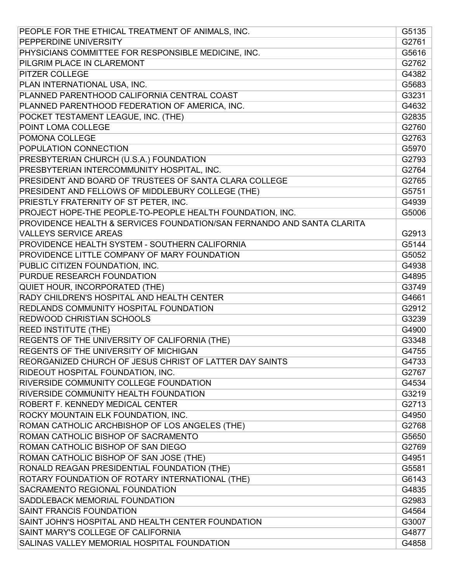| PEOPLE FOR THE ETHICAL TREATMENT OF ANIMALS, INC.                      | G5135 |
|------------------------------------------------------------------------|-------|
| PEPPERDINE UNIVERSITY                                                  | G2761 |
| PHYSICIANS COMMITTEE FOR RESPONSIBLE MEDICINE, INC.                    | G5616 |
| PILGRIM PLACE IN CLAREMONT                                             | G2762 |
| <b>PITZER COLLEGE</b>                                                  | G4382 |
| PLAN INTERNATIONAL USA, INC.                                           | G5683 |
| PLANNED PARENTHOOD CALIFORNIA CENTRAL COAST                            | G3231 |
| PLANNED PARENTHOOD FEDERATION OF AMERICA, INC.                         | G4632 |
| POCKET TESTAMENT LEAGUE, INC. (THE)                                    | G2835 |
| POINT LOMA COLLEGE                                                     | G2760 |
| POMONA COLLEGE                                                         | G2763 |
| POPULATION CONNECTION                                                  | G5970 |
| PRESBYTERIAN CHURCH (U.S.A.) FOUNDATION                                | G2793 |
| PRESBYTERIAN INTERCOMMUNITY HOSPITAL, INC.                             | G2764 |
| PRESIDENT AND BOARD OF TRUSTEES OF SANTA CLARA COLLEGE                 | G2765 |
| PRESIDENT AND FELLOWS OF MIDDLEBURY COLLEGE (THE)                      | G5751 |
| PRIESTLY FRATERNITY OF ST PETER, INC.                                  | G4939 |
| PROJECT HOPE-THE PEOPLE-TO-PEOPLE HEALTH FOUNDATION, INC.              | G5006 |
| PROVIDENCE HEALTH & SERVICES FOUNDATION/SAN FERNANDO AND SANTA CLARITA |       |
| <b>VALLEYS SERVICE AREAS</b>                                           | G2913 |
| PROVIDENCE HEALTH SYSTEM - SOUTHERN CALIFORNIA                         | G5144 |
| PROVIDENCE LITTLE COMPANY OF MARY FOUNDATION                           | G5052 |
| PUBLIC CITIZEN FOUNDATION, INC.                                        | G4938 |
| PURDUE RESEARCH FOUNDATION                                             | G4895 |
| QUIET HOUR, INCORPORATED (THE)                                         | G3749 |
| RADY CHILDREN'S HOSPITAL AND HEALTH CENTER                             | G4661 |
| REDLANDS COMMUNITY HOSPITAL FOUNDATION                                 | G2912 |
| REDWOOD CHRISTIAN SCHOOLS                                              | G3239 |
| <b>REED INSTITUTE (THE)</b>                                            | G4900 |
| REGENTS OF THE UNIVERSITY OF CALIFORNIA (THE)                          | G3348 |
| REGENTS OF THE UNIVERSITY OF MICHIGAN                                  | G4755 |
| REORGANIZED CHURCH OF JESUS CHRIST OF LATTER DAY SAINTS                | G4733 |
| RIDEOUT HOSPITAL FOUNDATION, INC.                                      | G2767 |
| RIVERSIDE COMMUNITY COLLEGE FOUNDATION                                 | G4534 |
| RIVERSIDE COMMUNITY HEALTH FOUNDATION                                  | G3219 |
| ROBERT F. KENNEDY MEDICAL CENTER                                       | G2713 |
| ROCKY MOUNTAIN ELK FOUNDATION, INC.                                    | G4950 |
| ROMAN CATHOLIC ARCHBISHOP OF LOS ANGELES (THE)                         | G2768 |
| ROMAN CATHOLIC BISHOP OF SACRAMENTO                                    | G5650 |
| ROMAN CATHOLIC BISHOP OF SAN DIEGO                                     | G2769 |
| ROMAN CATHOLIC BISHOP OF SAN JOSE (THE)                                | G4951 |
| RONALD REAGAN PRESIDENTIAL FOUNDATION (THE)                            | G5581 |
| ROTARY FOUNDATION OF ROTARY INTERNATIONAL (THE)                        | G6143 |
| SACRAMENTO REGIONAL FOUNDATION                                         | G4835 |
| SADDLEBACK MEMORIAL FOUNDATION                                         | G2983 |
| SAINT FRANCIS FOUNDATION                                               | G4564 |
| SAINT JOHN'S HOSPITAL AND HEALTH CENTER FOUNDATION                     | G3007 |
| SAINT MARY'S COLLEGE OF CALIFORNIA                                     | G4877 |
| SALINAS VALLEY MEMORIAL HOSPITAL FOUNDATION                            | G4858 |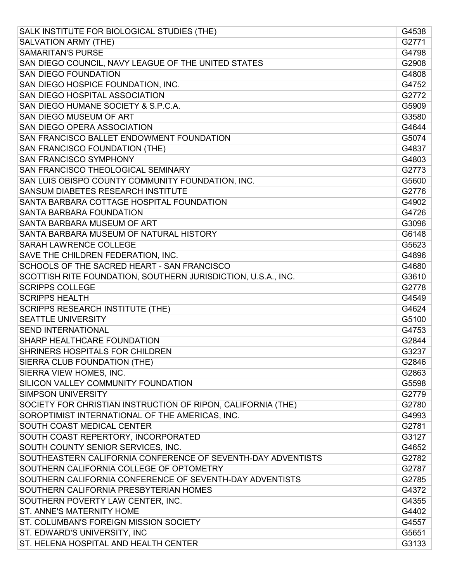| SALK INSTITUTE FOR BIOLOGICAL STUDIES (THE)                   | G4538 |
|---------------------------------------------------------------|-------|
| <b>SALVATION ARMY (THE)</b>                                   | G2771 |
| <b>SAMARITAN'S PURSE</b>                                      | G4798 |
| SAN DIEGO COUNCIL, NAVY LEAGUE OF THE UNITED STATES           | G2908 |
| <b>SAN DIEGO FOUNDATION</b>                                   | G4808 |
| SAN DIEGO HOSPICE FOUNDATION, INC.                            | G4752 |
| SAN DIEGO HOSPITAL ASSOCIATION                                | G2772 |
| SAN DIEGO HUMANE SOCIETY & S.P.C.A.                           | G5909 |
| <b>SAN DIEGO MUSEUM OF ART</b>                                | G3580 |
| SAN DIEGO OPERA ASSOCIATION                                   | G4644 |
| SAN FRANCISCO BALLET ENDOWMENT FOUNDATION                     | G5074 |
| SAN FRANCISCO FOUNDATION (THE)                                | G4837 |
| <b>SAN FRANCISCO SYMPHONY</b>                                 | G4803 |
| SAN FRANCISCO THEOLOGICAL SEMINARY                            | G2773 |
| SAN LUIS OBISPO COUNTY COMMUNITY FOUNDATION, INC.             | G5600 |
| SANSUM DIABETES RESEARCH INSTITUTE                            | G2776 |
| SANTA BARBARA COTTAGE HOSPITAL FOUNDATION                     | G4902 |
| SANTA BARBARA FOUNDATION                                      | G4726 |
| SANTA BARBARA MUSEUM OF ART                                   | G3096 |
| SANTA BARBARA MUSEUM OF NATURAL HISTORY                       | G6148 |
| <b>SARAH LAWRENCE COLLEGE</b>                                 | G5623 |
| SAVE THE CHILDREN FEDERATION, INC.                            | G4896 |
| SCHOOLS OF THE SACRED HEART - SAN FRANCISCO                   | G4680 |
| SCOTTISH RITE FOUNDATION, SOUTHERN JURISDICTION, U.S.A., INC. | G3610 |
| <b>SCRIPPS COLLEGE</b>                                        | G2778 |
| <b>SCRIPPS HEALTH</b>                                         | G4549 |
| <b>SCRIPPS RESEARCH INSTITUTE (THE)</b>                       | G4624 |
| <b>SEATTLE UNIVERSITY</b>                                     | G5100 |
| <b>SEND INTERNATIONAL</b>                                     | G4753 |
| <b>SHARP HEALTHCARE FOUNDATION</b>                            | G2844 |
| SHRINERS HOSPITALS FOR CHILDREN                               | G3237 |
| SIERRA CLUB FOUNDATION (THE)                                  | G2846 |
| SIERRA VIEW HOMES, INC.                                       | G2863 |
| SILICON VALLEY COMMUNITY FOUNDATION                           | G5598 |
| <b>SIMPSON UNIVERSITY</b>                                     | G2779 |
| SOCIETY FOR CHRISTIAN INSTRUCTION OF RIPON, CALIFORNIA (THE)  | G2780 |
| SOROPTIMIST INTERNATIONAL OF THE AMERICAS, INC.               | G4993 |
| SOUTH COAST MEDICAL CENTER                                    | G2781 |
| SOUTH COAST REPERTORY, INCORPORATED                           | G3127 |
| SOUTH COUNTY SENIOR SERVICES, INC.                            | G4652 |
| SOUTHEASTERN CALIFORNIA CONFERENCE OF SEVENTH-DAY ADVENTISTS  | G2782 |
| SOUTHERN CALIFORNIA COLLEGE OF OPTOMETRY                      | G2787 |
| SOUTHERN CALIFORNIA CONFERENCE OF SEVENTH-DAY ADVENTISTS      | G2785 |
| SOUTHERN CALIFORNIA PRESBYTERIAN HOMES                        | G4372 |
| SOUTHERN POVERTY LAW CENTER, INC.                             | G4355 |
| ST. ANNE'S MATERNITY HOME                                     | G4402 |
| ST. COLUMBAN'S FOREIGN MISSION SOCIETY                        | G4557 |
| ST. EDWARD'S UNIVERSITY, INC                                  | G5651 |
| ST. HELENA HOSPITAL AND HEALTH CENTER                         | G3133 |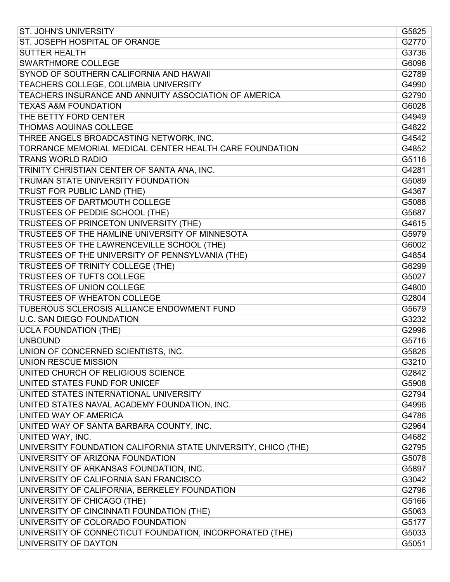| <b>ST. JOHN'S UNIVERSITY</b>                                   | G5825 |
|----------------------------------------------------------------|-------|
| ST. JOSEPH HOSPITAL OF ORANGE                                  | G2770 |
| <b>SUTTER HEALTH</b>                                           | G3736 |
| SWARTHMORE COLLEGE                                             | G6096 |
| SYNOD OF SOUTHERN CALIFORNIA AND HAWAII                        | G2789 |
| TEACHERS COLLEGE, COLUMBIA UNIVERSITY                          | G4990 |
| TEACHERS INSURANCE AND ANNUITY ASSOCIATION OF AMERICA          | G2790 |
| <b>TEXAS A&amp;M FOUNDATION</b>                                | G6028 |
| THE BETTY FORD CENTER                                          | G4949 |
| <b>THOMAS AQUINAS COLLEGE</b>                                  | G4822 |
| THREE ANGELS BROADCASTING NETWORK, INC.                        | G4542 |
| TORRANCE MEMORIAL MEDICAL CENTER HEALTH CARE FOUNDATION        | G4852 |
| <b>TRANS WORLD RADIO</b>                                       | G5116 |
| TRINITY CHRISTIAN CENTER OF SANTA ANA, INC.                    | G4281 |
| TRUMAN STATE UNIVERSITY FOUNDATION                             | G5089 |
| TRUST FOR PUBLIC LAND (THE)                                    | G4367 |
| TRUSTEES OF DARTMOUTH COLLEGE                                  | G5088 |
| TRUSTEES OF PEDDIE SCHOOL (THE)                                | G5687 |
| <b>TRUSTEES OF PRINCETON UNIVERSITY (THE)</b>                  | G4615 |
| TRUSTEES OF THE HAMLINE UNIVERSITY OF MINNESOTA                | G5979 |
| TRUSTEES OF THE LAWRENCEVILLE SCHOOL (THE)                     | G6002 |
| TRUSTEES OF THE UNIVERSITY OF PENNSYLVANIA (THE)               | G4854 |
| TRUSTEES OF TRINITY COLLEGE (THE)                              | G6299 |
| <b>TRUSTEES OF TUFTS COLLEGE</b>                               | G5027 |
| TRUSTEES OF UNION COLLEGE                                      | G4800 |
| TRUSTEES OF WHEATON COLLEGE                                    | G2804 |
| TUBEROUS SCLEROSIS ALLIANCE ENDOWMENT FUND                     | G5679 |
| <b>U.C. SAN DIEGO FOUNDATION</b>                               | G3232 |
| <b>UCLA FOUNDATION (THE)</b>                                   | G2996 |
| <b>UNBOUND</b>                                                 | G5716 |
| UNION OF CONCERNED SCIENTISTS, INC.                            | G5826 |
| <b>UNION RESCUE MISSION</b>                                    | G3210 |
| UNITED CHURCH OF RELIGIOUS SCIENCE                             | G2842 |
| UNITED STATES FUND FOR UNICEF                                  | G5908 |
| UNITED STATES INTERNATIONAL UNIVERSITY                         | G2794 |
| UNITED STATES NAVAL ACADEMY FOUNDATION, INC.                   | G4996 |
| UNITED WAY OF AMERICA                                          | G4786 |
| UNITED WAY OF SANTA BARBARA COUNTY, INC.                       | G2964 |
| UNITED WAY, INC.                                               | G4682 |
| UNIVERSITY FOUNDATION CALIFORNIA STATE UNIVERSITY, CHICO (THE) | G2795 |
| UNIVERSITY OF ARIZONA FOUNDATION                               | G5078 |
| UNIVERSITY OF ARKANSAS FOUNDATION, INC.                        | G5897 |
| UNIVERSITY OF CALIFORNIA SAN FRANCISCO                         | G3042 |
| UNIVERSITY OF CALIFORNIA, BERKELEY FOUNDATION                  | G2796 |
| UNIVERSITY OF CHICAGO (THE)                                    | G5166 |
| UNIVERSITY OF CINCINNATI FOUNDATION (THE)                      | G5063 |
| UNIVERSITY OF COLORADO FOUNDATION                              | G5177 |
| UNIVERSITY OF CONNECTICUT FOUNDATION, INCORPORATED (THE)       | G5033 |
| UNIVERSITY OF DAYTON                                           | G5051 |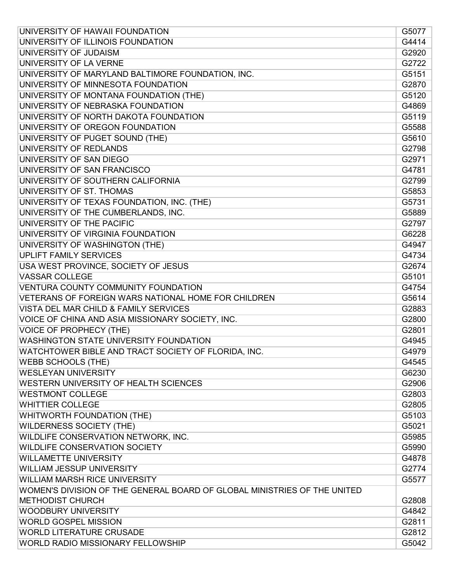| UNIVERSITY OF HAWAII FOUNDATION                                          | G5077 |
|--------------------------------------------------------------------------|-------|
| UNIVERSITY OF ILLINOIS FOUNDATION                                        | G4414 |
| UNIVERSITY OF JUDAISM                                                    | G2920 |
| UNIVERSITY OF LA VERNE                                                   | G2722 |
| UNIVERSITY OF MARYLAND BALTIMORE FOUNDATION, INC.                        | G5151 |
| UNIVERSITY OF MINNESOTA FOUNDATION                                       | G2870 |
| UNIVERSITY OF MONTANA FOUNDATION (THE)                                   | G5120 |
| UNIVERSITY OF NEBRASKA FOUNDATION                                        | G4869 |
| UNIVERSITY OF NORTH DAKOTA FOUNDATION                                    | G5119 |
| UNIVERSITY OF OREGON FOUNDATION                                          | G5588 |
| UNIVERSITY OF PUGET SOUND (THE)                                          | G5610 |
| UNIVERSITY OF REDLANDS                                                   | G2798 |
| UNIVERSITY OF SAN DIEGO                                                  | G2971 |
| UNIVERSITY OF SAN FRANCISCO                                              | G4781 |
| UNIVERSITY OF SOUTHERN CALIFORNIA                                        | G2799 |
| UNIVERSITY OF ST. THOMAS                                                 | G5853 |
| UNIVERSITY OF TEXAS FOUNDATION, INC. (THE)                               | G5731 |
| UNIVERSITY OF THE CUMBERLANDS, INC.                                      | G5889 |
| UNIVERSITY OF THE PACIFIC                                                | G2797 |
| UNIVERSITY OF VIRGINIA FOUNDATION                                        | G6228 |
| UNIVERSITY OF WASHINGTON (THE)                                           | G4947 |
| <b>UPLIFT FAMILY SERVICES</b>                                            | G4734 |
| USA WEST PROVINCE, SOCIETY OF JESUS                                      | G2674 |
| <b>VASSAR COLLEGE</b>                                                    | G5101 |
| VENTURA COUNTY COMMUNITY FOUNDATION                                      | G4754 |
| VETERANS OF FOREIGN WARS NATIONAL HOME FOR CHILDREN                      | G5614 |
| VISTA DEL MAR CHILD & FAMILY SERVICES                                    | G2883 |
| VOICE OF CHINA AND ASIA MISSIONARY SOCIETY, INC.                         | G2800 |
| <b>VOICE OF PROPHECY (THE)</b>                                           | G2801 |
| WASHINGTON STATE UNIVERSITY FOUNDATION                                   | G4945 |
| WATCHTOWER BIBLE AND TRACT SOCIETY OF FLORIDA, INC.                      | G4979 |
| <b>WEBB SCHOOLS (THE)</b>                                                | G4545 |
| <b>WESLEYAN UNIVERSITY</b>                                               | G6230 |
| WESTERN UNIVERSITY OF HEALTH SCIENCES                                    | G2906 |
| <b>WESTMONT COLLEGE</b>                                                  | G2803 |
| <b>WHITTIER COLLEGE</b>                                                  | G2805 |
| WHITWORTH FOUNDATION (THE)                                               | G5103 |
| <b>WILDERNESS SOCIETY (THE)</b>                                          | G5021 |
| WILDLIFE CONSERVATION NETWORK, INC.                                      | G5985 |
| <b>WILDLIFE CONSERVATION SOCIETY</b>                                     | G5990 |
| <b>WILLAMETTE UNIVERSITY</b>                                             | G4878 |
| <b>WILLIAM JESSUP UNIVERSITY</b>                                         | G2774 |
| <b>WILLIAM MARSH RICE UNIVERSITY</b>                                     | G5577 |
| WOMEN'S DIVISION OF THE GENERAL BOARD OF GLOBAL MINISTRIES OF THE UNITED |       |
| <b>METHODIST CHURCH</b>                                                  | G2808 |
| <b>WOODBURY UNIVERSITY</b>                                               | G4842 |
| <b>WORLD GOSPEL MISSION</b>                                              | G2811 |
| <b>WORLD LITERATURE CRUSADE</b>                                          | G2812 |
| WORLD RADIO MISSIONARY FELLOWSHIP                                        | G5042 |